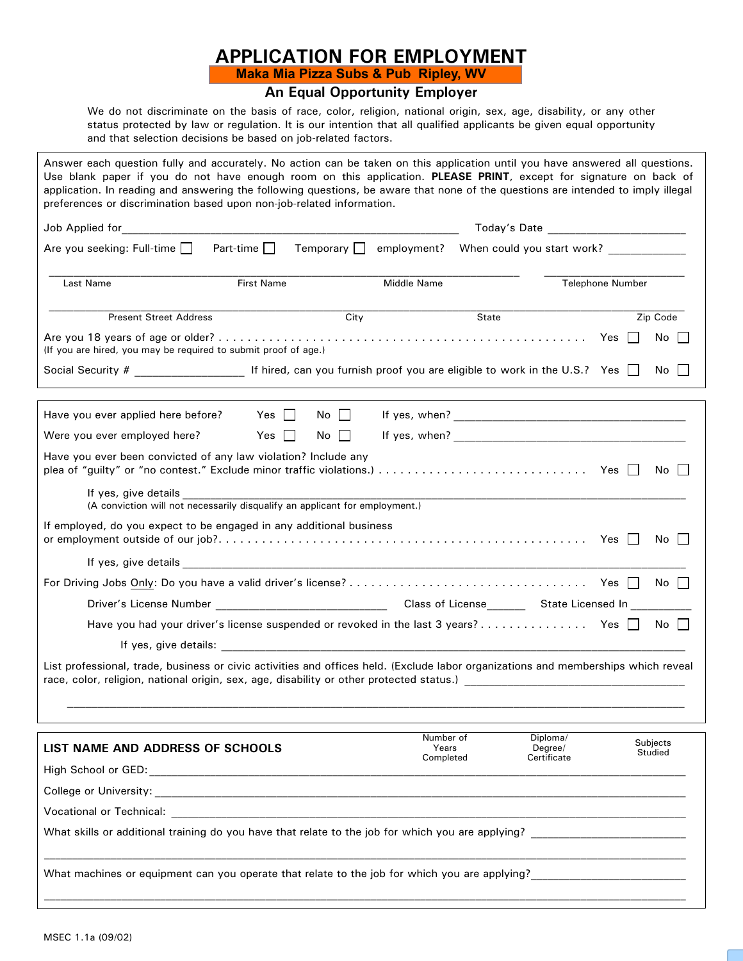## **APPLICATION FOR EMPLOYMENT Maka Mia Pizza Subs & Pub Ripley, WV**

## **An Equal Opportunity Employer**

We do not discriminate on the basis of race, color, religion, national origin, sex, age, disability, or any other status protected by law or regulation. It is our intention that all qualified applicants be given equal opportunity and that selection decisions be based on job-related factors.

| Answer each question fully and accurately. No action can be taken on this application until you have answered all questions.<br>Use blank paper if you do not have enough room on this application. PLEASE PRINT, except for signature on back of<br>application. In reading and answering the following questions, be aware that none of the questions are intended to imply illegal<br>preferences or discrimination based upon non-job-related information. |                                                    |       |                    |       |                         |  |                      |
|----------------------------------------------------------------------------------------------------------------------------------------------------------------------------------------------------------------------------------------------------------------------------------------------------------------------------------------------------------------------------------------------------------------------------------------------------------------|----------------------------------------------------|-------|--------------------|-------|-------------------------|--|----------------------|
| Today's Date <b>All Accords</b> Today's Date                                                                                                                                                                                                                                                                                                                                                                                                                   |                                                    |       |                    |       |                         |  |                      |
| Are you seeking: Full-time $\Box$                                                                                                                                                                                                                                                                                                                                                                                                                              | Temporary □ employment? When could you start work? |       |                    |       |                         |  |                      |
| Last Name                                                                                                                                                                                                                                                                                                                                                                                                                                                      | First Name                                         |       | Middle Name        |       | <b>Telephone Number</b> |  |                      |
| <b>Present Street Address</b>                                                                                                                                                                                                                                                                                                                                                                                                                                  |                                                    | City  |                    | State |                         |  | Zip Code             |
| (If you are hired, you may be required to submit proof of age.)                                                                                                                                                                                                                                                                                                                                                                                                |                                                    |       |                    |       |                         |  | No                   |
|                                                                                                                                                                                                                                                                                                                                                                                                                                                                |                                                    |       |                    |       |                         |  | No.                  |
| Have you ever applied here before? Yes                                                                                                                                                                                                                                                                                                                                                                                                                         |                                                    | No    |                    |       |                         |  |                      |
| Were you ever employed here?                                                                                                                                                                                                                                                                                                                                                                                                                                   | Yes                                                | No II |                    |       |                         |  |                      |
| Have you ever been convicted of any law violation? Include any                                                                                                                                                                                                                                                                                                                                                                                                 |                                                    |       |                    |       |                         |  | No II                |
| If yes, give details and the state of the state of the state of the state of the state of the state of the state of the state of the state of the state of the state of the state of the state of the state of the state of th<br>(A conviction will not necessarily disqualify an applicant for employment.)                                                                                                                                                  |                                                    |       |                    |       |                         |  |                      |
| If employed, do you expect to be engaged in any additional business                                                                                                                                                                                                                                                                                                                                                                                            |                                                    |       |                    |       |                         |  | No II                |
|                                                                                                                                                                                                                                                                                                                                                                                                                                                                |                                                    |       |                    |       |                         |  |                      |
|                                                                                                                                                                                                                                                                                                                                                                                                                                                                |                                                    |       |                    |       |                         |  | $No$ $\vert$ $\vert$ |
|                                                                                                                                                                                                                                                                                                                                                                                                                                                                |                                                    |       |                    |       |                         |  |                      |
| Have you had your driver's license suspended or revoked in the last 3 years? Yes                                                                                                                                                                                                                                                                                                                                                                               |                                                    |       |                    |       |                         |  | No II                |
|                                                                                                                                                                                                                                                                                                                                                                                                                                                                |                                                    |       |                    |       |                         |  |                      |
| List professional, trade, business or civic activities and offices held. (Exclude labor organizations and memberships which reveal                                                                                                                                                                                                                                                                                                                             |                                                    |       |                    |       |                         |  |                      |
| LIST NAME AND ADDRESS OF SCHOOLS                                                                                                                                                                                                                                                                                                                                                                                                                               |                                                    |       | Number of<br>Years |       | Diploma/<br>Degree/     |  | Subjects             |
|                                                                                                                                                                                                                                                                                                                                                                                                                                                                |                                                    |       | Completed          |       | Certificate             |  | Studied              |
| College or University: the contract of the collection of the collection of the collection of the collection of the collection of the collection of the collection of the collection of the collection of the collection of the                                                                                                                                                                                                                                 |                                                    |       |                    |       |                         |  |                      |
|                                                                                                                                                                                                                                                                                                                                                                                                                                                                |                                                    |       |                    |       |                         |  |                      |
| What skills or additional training do you have that relate to the job for which you are applying?                                                                                                                                                                                                                                                                                                                                                              |                                                    |       |                    |       |                         |  |                      |
|                                                                                                                                                                                                                                                                                                                                                                                                                                                                |                                                    |       |                    |       |                         |  |                      |
| What machines or equipment can you operate that relate to the job for which you are applying?<br>What machines or equipment can you operate that relate to the job for which you are applying?                                                                                                                                                                                                                                                                 |                                                    |       |                    |       |                         |  |                      |